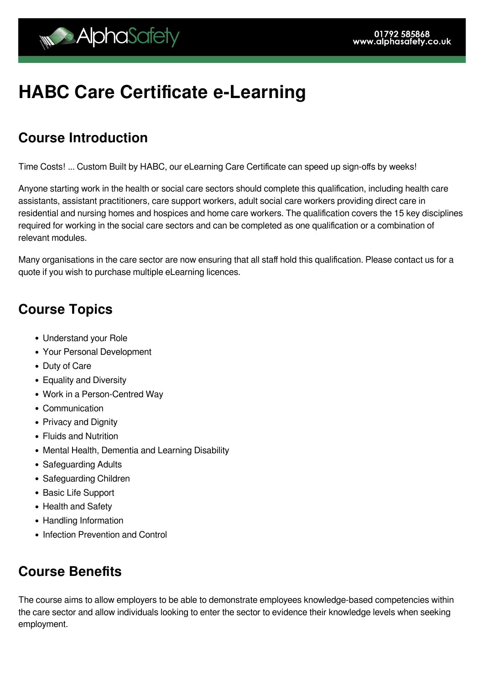# **HABC Care Certificate e-Learning**

#### **Course Introduction**

Time Costs! ... Custom Built by HABC, our eLearning Care Certificate can speed up sign-offs by weeks!

Anyone starting work in the health or social care sectors should complete this qualification, including health care assistants, assistant practitioners, care support workers, adult social care workers providing direct care in residential and nursing homes and hospices and home care workers. The qualification covers the 15 key disciplines required for working in the social care sectors and can be completed as one qualification or a combination of relevant modules.

Many organisations in the care sector are now ensuring that all staff hold this qualification. Please contact us for a quote if you wish to purchase multiple eLearning licences.

#### **Course Topics**

- Understand your Role
- Your Personal Development
- Duty of Care
- Equality and Diversity
- Work in a Person-Centred Way
- Communication
- Privacy and Dignity
- Fluids and Nutrition
- Mental Health, Dementia and Learning Disability
- Safeguarding Adults
- Safeguarding Children
- Basic Life Support
- Health and Safety
- Handling Information
- Infection Prevention and Control

#### **Course Benefits**

The course aims to allow employers to be able to demonstrate employees knowledge-based competencies within the care sector and allow individuals looking to enter the sector to evidence their knowledge levels when seeking employment.